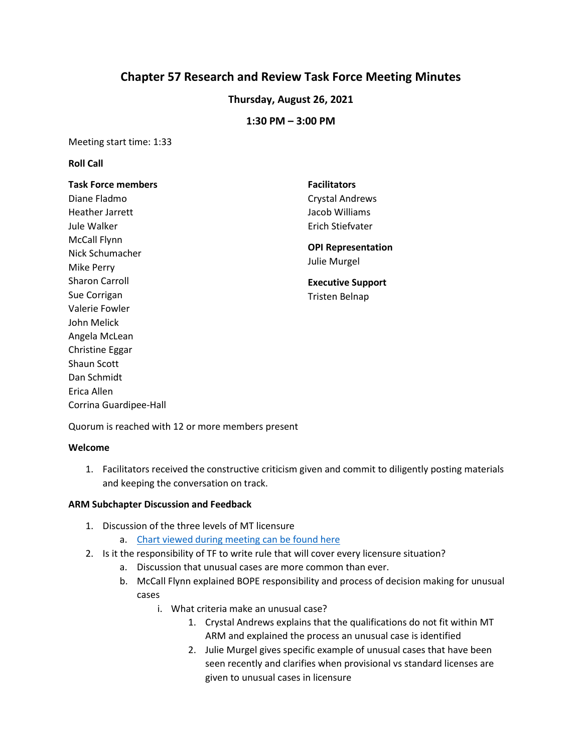# **Chapter 57 Research and Review Task Force Meeting Minutes**

## **Thursday, August 26, 2021**

### **1:30 PM – 3:00 PM**

Meeting start time: 1:33

#### **Roll Call**

# **Task Force members**

Diane Fladmo Heather Jarrett Jule Walker McCall Flynn Nick Schumacher Mike Perry Sharon Carroll Sue Corrigan Valerie Fowler John Melick Angela McLean Christine Eggar Shaun Scott Dan Schmidt Erica Allen Corrina Guardipee-Hall

# **Facilitators**  Crystal Andrews Jacob Williams Erich Stiefvater

#### **OPI Representation**  Julie Murgel

## **Executive Support**  Tristen Belnap

Quorum is reached with 12 or more members present

#### **Welcome**

1. Facilitators received the constructive criticism given and commit to diligently posting materials and keeping the conversation on track.

#### **ARM Subchapter Discussion and Feedback**

- 1. Discussion of the three levels of MT licensure
	- a. [Chart viewed during meeting](https://docs.google.com/presentation/d/13sz8xymCcwaO527jDa4KT5whyUhvJ1oR/edit?usp=sharing&ouid=103980653118195900680&rtpof=true&sd=true) can be found here
- 2. Is it the responsibility of TF to write rule that will cover every licensure situation?
	- a. Discussion that unusual cases are more common than ever.
	- b. McCall Flynn explained BOPE responsibility and process of decision making for unusual cases
		- i. What criteria make an unusual case?
			- 1. Crystal Andrews explains that the qualifications do not fit within MT ARM and explained the process an unusual case is identified
			- 2. Julie Murgel gives specific example of unusual cases that have been seen recently and clarifies when provisional vs standard licenses are given to unusual cases in licensure